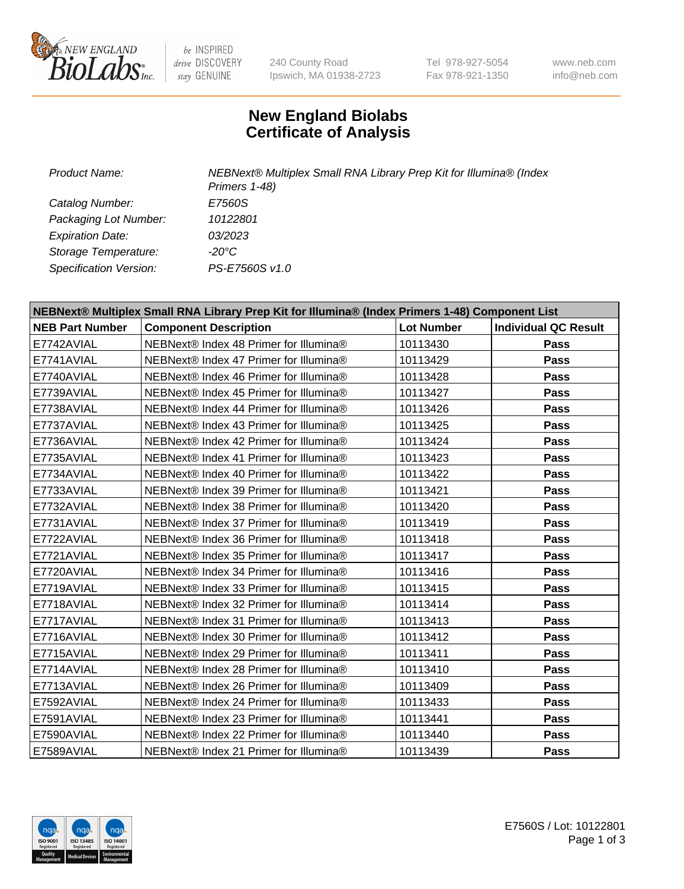

be INSPIRED drive DISCOVERY stay GENUINE

240 County Road Ipswich, MA 01938-2723 Tel 978-927-5054 Fax 978-921-1350

www.neb.com info@neb.com

## **New England Biolabs Certificate of Analysis**

*Product Name: NEBNext® Multiplex Small RNA Library Prep Kit for Illumina® (Index Primers 1-48) Catalog Number: E7560S Packaging Lot Number: 10122801 Expiration Date: 03/2023 Storage Temperature: -20°C Specification Version: PS-E7560S v1.0*

| NEBNext® Multiplex Small RNA Library Prep Kit for Illumina® (Index Primers 1-48) Component List |                                        |                   |                             |  |
|-------------------------------------------------------------------------------------------------|----------------------------------------|-------------------|-----------------------------|--|
| <b>NEB Part Number</b>                                                                          | <b>Component Description</b>           | <b>Lot Number</b> | <b>Individual QC Result</b> |  |
| E7742AVIAL                                                                                      | NEBNext® Index 48 Primer for Illumina® | 10113430          | Pass                        |  |
| E7741AVIAL                                                                                      | NEBNext® Index 47 Primer for Illumina® | 10113429          | <b>Pass</b>                 |  |
| E7740AVIAL                                                                                      | NEBNext® Index 46 Primer for Illumina® | 10113428          | <b>Pass</b>                 |  |
| E7739AVIAL                                                                                      | NEBNext® Index 45 Primer for Illumina® | 10113427          | <b>Pass</b>                 |  |
| E7738AVIAL                                                                                      | NEBNext® Index 44 Primer for Illumina® | 10113426          | <b>Pass</b>                 |  |
| E7737AVIAL                                                                                      | NEBNext® Index 43 Primer for Illumina® | 10113425          | Pass                        |  |
| E7736AVIAL                                                                                      | NEBNext® Index 42 Primer for Illumina® | 10113424          | <b>Pass</b>                 |  |
| E7735AVIAL                                                                                      | NEBNext® Index 41 Primer for Illumina® | 10113423          | Pass                        |  |
| E7734AVIAL                                                                                      | NEBNext® Index 40 Primer for Illumina® | 10113422          | <b>Pass</b>                 |  |
| E7733AVIAL                                                                                      | NEBNext® Index 39 Primer for Illumina® | 10113421          | <b>Pass</b>                 |  |
| E7732AVIAL                                                                                      | NEBNext® Index 38 Primer for Illumina® | 10113420          | Pass                        |  |
| E7731AVIAL                                                                                      | NEBNext® Index 37 Primer for Illumina® | 10113419          | Pass                        |  |
| E7722AVIAL                                                                                      | NEBNext® Index 36 Primer for Illumina® | 10113418          | Pass                        |  |
| E7721AVIAL                                                                                      | NEBNext® Index 35 Primer for Illumina® | 10113417          | <b>Pass</b>                 |  |
| E7720AVIAL                                                                                      | NEBNext® Index 34 Primer for Illumina® | 10113416          | Pass                        |  |
| E7719AVIAL                                                                                      | NEBNext® Index 33 Primer for Illumina® | 10113415          | <b>Pass</b>                 |  |
| E7718AVIAL                                                                                      | NEBNext® Index 32 Primer for Illumina® | 10113414          | Pass                        |  |
| E7717AVIAL                                                                                      | NEBNext® Index 31 Primer for Illumina® | 10113413          | Pass                        |  |
| E7716AVIAL                                                                                      | NEBNext® Index 30 Primer for Illumina® | 10113412          | Pass                        |  |
| E7715AVIAL                                                                                      | NEBNext® Index 29 Primer for Illumina® | 10113411          | <b>Pass</b>                 |  |
| E7714AVIAL                                                                                      | NEBNext® Index 28 Primer for Illumina® | 10113410          | <b>Pass</b>                 |  |
| E7713AVIAL                                                                                      | NEBNext® Index 26 Primer for Illumina® | 10113409          | Pass                        |  |
| E7592AVIAL                                                                                      | NEBNext® Index 24 Primer for Illumina® | 10113433          | Pass                        |  |
| E7591AVIAL                                                                                      | NEBNext® Index 23 Primer for Illumina® | 10113441          | Pass                        |  |
| E7590AVIAL                                                                                      | NEBNext® Index 22 Primer for Illumina® | 10113440          | Pass                        |  |
| E7589AVIAL                                                                                      | NEBNext® Index 21 Primer for Illumina® | 10113439          | Pass                        |  |

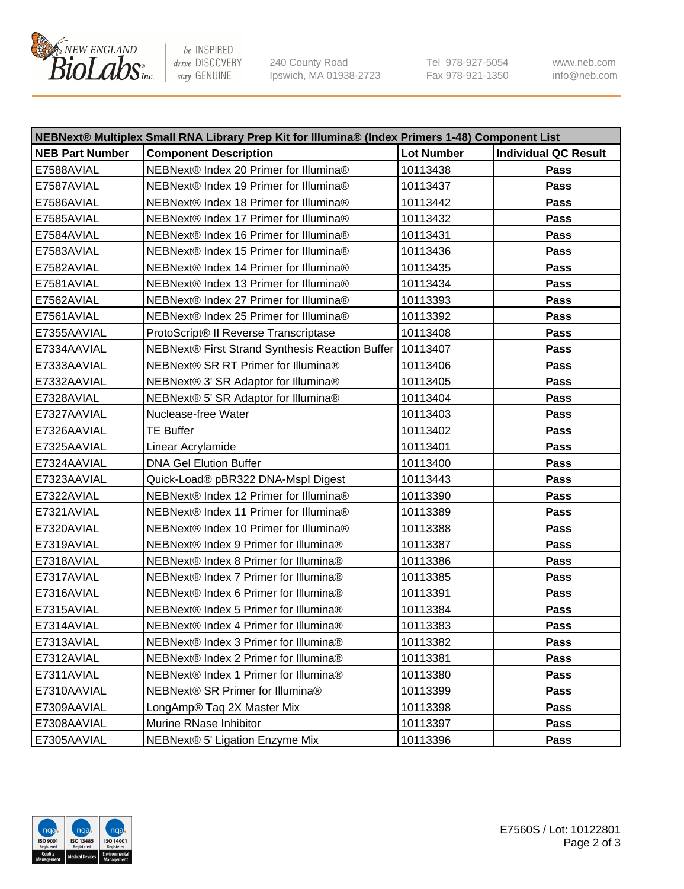

be INSPIRED drive DISCOVERY stay GENUINE

240 County Road Ipswich, MA 01938-2723 Tel 978-927-5054 Fax 978-921-1350 www.neb.com info@neb.com

| NEBNext® Multiplex Small RNA Library Prep Kit for Illumina® (Index Primers 1-48) Component List |                                                            |                   |                             |  |
|-------------------------------------------------------------------------------------------------|------------------------------------------------------------|-------------------|-----------------------------|--|
| <b>NEB Part Number</b>                                                                          | <b>Component Description</b>                               | <b>Lot Number</b> | <b>Individual QC Result</b> |  |
| E7588AVIAL                                                                                      | NEBNext® Index 20 Primer for Illumina®                     | 10113438          | Pass                        |  |
| E7587AVIAL                                                                                      | NEBNext® Index 19 Primer for Illumina®                     | 10113437          | Pass                        |  |
| E7586AVIAL                                                                                      | NEBNext® Index 18 Primer for Illumina®                     | 10113442          | Pass                        |  |
| E7585AVIAL                                                                                      | NEBNext® Index 17 Primer for Illumina®                     | 10113432          | Pass                        |  |
| E7584AVIAL                                                                                      | NEBNext® Index 16 Primer for Illumina®                     | 10113431          | Pass                        |  |
| E7583AVIAL                                                                                      | NEBNext® Index 15 Primer for Illumina®                     | 10113436          | Pass                        |  |
| E7582AVIAL                                                                                      | NEBNext® Index 14 Primer for Illumina®                     | 10113435          | Pass                        |  |
| E7581AVIAL                                                                                      | NEBNext® Index 13 Primer for Illumina®                     | 10113434          | Pass                        |  |
| E7562AVIAL                                                                                      | NEBNext® Index 27 Primer for Illumina®                     | 10113393          | Pass                        |  |
| E7561AVIAL                                                                                      | NEBNext® Index 25 Primer for Illumina®                     | 10113392          | Pass                        |  |
| E7355AAVIAL                                                                                     | ProtoScript® II Reverse Transcriptase                      | 10113408          | Pass                        |  |
| E7334AAVIAL                                                                                     | NEBNext® First Strand Synthesis Reaction Buffer   10113407 |                   | Pass                        |  |
| E7333AAVIAL                                                                                     | NEBNext® SR RT Primer for Illumina®                        | 10113406          | Pass                        |  |
| E7332AAVIAL                                                                                     | NEBNext® 3' SR Adaptor for Illumina®                       | 10113405          | Pass                        |  |
| E7328AVIAL                                                                                      | NEBNext® 5' SR Adaptor for Illumina®                       | 10113404          | Pass                        |  |
| E7327AAVIAL                                                                                     | Nuclease-free Water                                        | 10113403          | Pass                        |  |
| E7326AAVIAL                                                                                     | <b>TE Buffer</b>                                           | 10113402          | Pass                        |  |
| E7325AAVIAL                                                                                     | Linear Acrylamide                                          | 10113401          | Pass                        |  |
| E7324AAVIAL                                                                                     | <b>DNA Gel Elution Buffer</b>                              | 10113400          | Pass                        |  |
| E7323AAVIAL                                                                                     | Quick-Load® pBR322 DNA-Mspl Digest                         | 10113443          | Pass                        |  |
| E7322AVIAL                                                                                      | NEBNext® Index 12 Primer for Illumina®                     | 10113390          | Pass                        |  |
| E7321AVIAL                                                                                      | NEBNext® Index 11 Primer for Illumina®                     | 10113389          | Pass                        |  |
| E7320AVIAL                                                                                      | NEBNext® Index 10 Primer for Illumina®                     | 10113388          | Pass                        |  |
| E7319AVIAL                                                                                      | NEBNext® Index 9 Primer for Illumina®                      | 10113387          | Pass                        |  |
| E7318AVIAL                                                                                      | NEBNext® Index 8 Primer for Illumina®                      | 10113386          | Pass                        |  |
| E7317AVIAL                                                                                      | NEBNext® Index 7 Primer for Illumina®                      | 10113385          | Pass                        |  |
| E7316AVIAL                                                                                      | NEBNext® Index 6 Primer for Illumina®                      | 10113391          | Pass                        |  |
| E7315AVIAL                                                                                      | NEBNext® Index 5 Primer for Illumina®                      | 10113384          | Pass                        |  |
| E7314AVIAL                                                                                      | NEBNext® Index 4 Primer for Illumina®                      | 10113383          | Pass                        |  |
| E7313AVIAL                                                                                      | NEBNext® Index 3 Primer for Illumina®                      | 10113382          | Pass                        |  |
| E7312AVIAL                                                                                      | NEBNext® Index 2 Primer for Illumina®                      | 10113381          | <b>Pass</b>                 |  |
| E7311AVIAL                                                                                      | NEBNext® Index 1 Primer for Illumina®                      | 10113380          | Pass                        |  |
| E7310AAVIAL                                                                                     | NEBNext® SR Primer for Illumina®                           | 10113399          | Pass                        |  |
| E7309AAVIAL                                                                                     | LongAmp® Taq 2X Master Mix                                 | 10113398          | Pass                        |  |
| E7308AAVIAL                                                                                     | Murine RNase Inhibitor                                     | 10113397          | Pass                        |  |
| E7305AAVIAL                                                                                     | NEBNext® 5' Ligation Enzyme Mix                            | 10113396          | Pass                        |  |